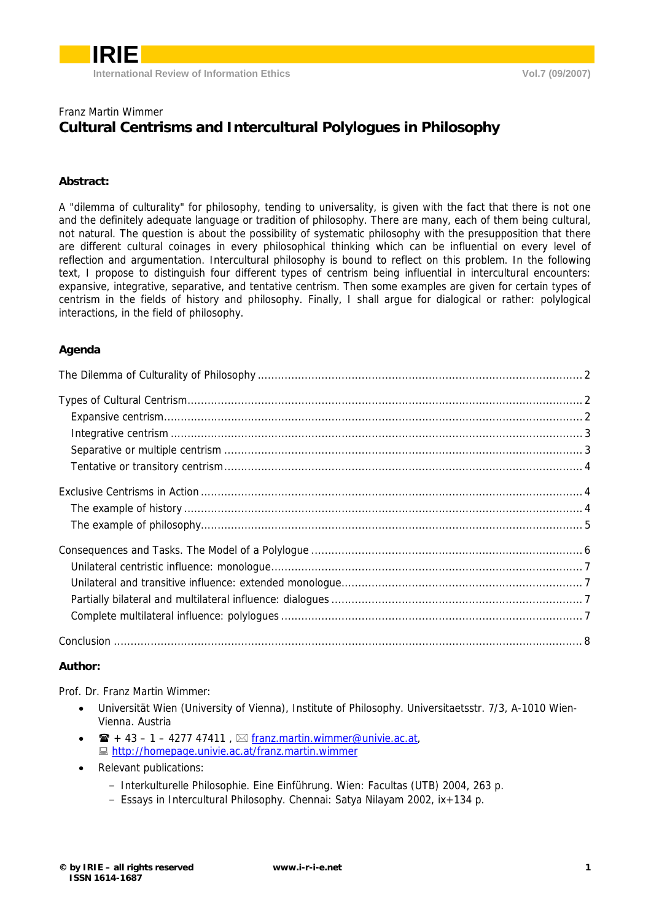

### Franz Martin Wimmer **Cultural Centrisms and Intercultural Polylogues in Philosophy**

### **Abstract:**

A "dilemma of culturality" for philosophy, tending to universality, is given with the fact that there is not one and the definitely adequate language or tradition of philosophy. There are many, each of them being cultural, not natural. The question is about the possibility of systematic philosophy with the presupposition that there are different cultural coinages in every philosophical thinking which can be influential on every level of reflection and argumentation. Intercultural philosophy is bound to reflect on this problem. In the following text, I propose to distinguish four different types of centrism being influential in intercultural encounters: expansive, integrative, separative, and tentative centrism. Then some examples are given for certain types of centrism in the fields of history and philosophy. Finally, I shall argue for dialogical or rather: polylogical interactions, in the field of philosophy.

### **Agenda**

### **Author:**

Prof. Dr. Franz Martin Wimmer:

- Universität Wien (University of Vienna), Institute of Philosophy. Universitaetsstr. 7/3, A-1010 Wien-Vienna. Austria
- $\mathbf{\hat{E}}$  + 43 1 4277 47411,  $\boxtimes$  [franz.martin.wimmer@univie.ac.at,](mailto:franz.martin.wimmer@univie.ac.at) **■ <http://homepage.univie.ac.at/franz.martin.wimmer>**
- Relevant publications:
	- Interkulturelle Philosophie. Eine Einführung. Wien: Facultas (UTB) 2004, 263 p.
	- Essays in Intercultural Philosophy. Chennai: Satya Nilayam 2002, ix+134 p.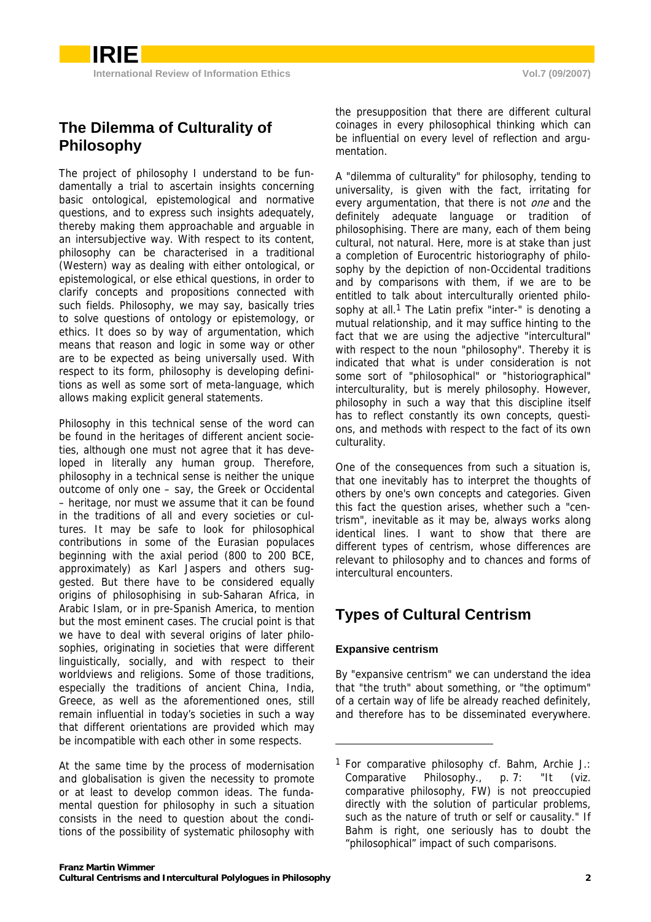# <span id="page-1-0"></span>**The Dilemma of Culturality of Philosophy**

The project of philosophy I understand to be fundamentally a trial to ascertain insights concerning basic ontological, epistemological and normative questions, and to express such insights adequately, thereby making them approachable and arguable in an intersubjective way. With respect to its content, philosophy can be characterised in a traditional (Western) way as dealing with either ontological, or epistemological, or else ethical questions, in order to clarify concepts and propositions connected with such fields. Philosophy, we may say, basically tries to solve questions of ontology or epistemology, or ethics. It does so by way of argumentation, which means that reason and logic in some way or other are to be expected as being universally used. With respect to its form, philosophy is developing definitions as well as some sort of meta-language, which allows making explicit general statements.

Philosophy in this technical sense of the word can be found in the heritages of different ancient societies, although one must not agree that it has developed in literally any human group. Therefore, philosophy in a technical sense is neither the unique outcome of only one – say, the Greek or Occidental – heritage, nor must we assume that it can be found in the traditions of all and every societies or cultures. It may be safe to look for philosophical contributions in some of the Eurasian populaces beginning with the axial period (800 to 200 BCE, approximately) as Karl Jaspers and others suggested. But there have to be considered equally origins of philosophising in sub-Saharan Africa, in Arabic Islam, or in pre-Spanish America, to mention but the most eminent cases. The crucial point is that we have to deal with several origins of later philosophies, originating in societies that were different linguistically, socially, and with respect to their worldviews and religions. Some of those traditions, especially the traditions of ancient China, India, Greece, as well as the aforementioned ones, still remain influential in today's societies in such a way that different orientations are provided which may be incompatible with each other in some respects.

At the same time by the process of modernisation and globalisation is given the necessity to promote or at least to develop common ideas. The fundamental question for philosophy in such a situation consists in the need to question about the conditions of the possibility of systematic philosophy with A "dilemma of culturality" for philosophy, tending to universality, is given with the fact, irritating for every argumentation, that there is not one and the definitely adequate language or tradition of philosophising. There are many, each of them being cultural, not natural. Here, more is at stake than just a completion of Eurocentric historiography of philosophy by the depiction of non-Occidental traditions and by comparisons with them, if we are to be entitled to talk about interculturally oriented philosophy at all.<sup>1</sup> The Latin prefix "inter-" is denoting a mutual relat[ion](#page-1-1)ship, and it may suffice hinting to the fact that we are using the adjective "intercultural" with respect to the noun "philosophy". Thereby it is indicated that what is under consideration is not some sort of "philosophical" or "historiographical" interculturality, but is merely philosophy. However, philosophy in such a way that this discipline itself has to reflect constantly its own concepts, questions, and methods with respect to the fact of its own culturality.

One of the consequences from such a situation is, that one inevitably has to interpret the thoughts of others by one's own concepts and categories. Given this fact the question arises, whether such a "centrism", inevitable as it may be, always works along identical lines. I want to show that there are different types of centrism, whose differences are relevant to philosophy and to chances and forms of intercultural encounters.

## **Types of Cultural Centrism**

### **Expansive centrism**

1

By "expansive centrism" we can understand the idea that "the truth" about something, or "the optimum" of a certain way of life be already reached definitely, and therefore has to be disseminated everywhere.

<span id="page-1-1"></span><sup>1</sup> For comparative philosophy cf. Bahm, Archie J.: Comparative Philosophy., p. 7: "It (viz. comparative philosophy, FW) is not preoccupied directly with the solution of particular problems, such as the nature of truth or self or causality." If Bahm is right, one seriously has to doubt the "philosophical" impact of such comparisons.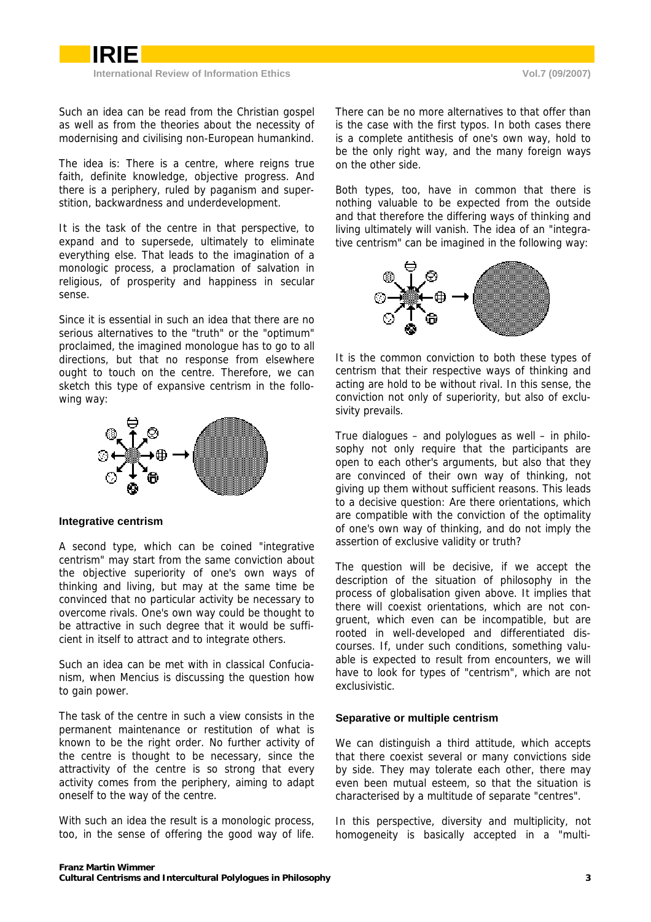<span id="page-2-0"></span>

Such an idea can be read from the Christian gospel as well as from the theories about the necessity of modernising and civilising non-European humankind.

The idea is: There is a centre, where reigns true faith, definite knowledge, objective progress. And there is a periphery, ruled by paganism and superstition, backwardness and underdevelopment.

It is the task of the centre in that perspective, to expand and to supersede, ultimately to eliminate everything else. That leads to the imagination of a monologic process, a proclamation of salvation in religious, of prosperity and happiness in secular sense.

Since it is essential in such an idea that there are no serious alternatives to the "truth" or the "optimum" proclaimed, the imagined monologue has to go to all directions, but that no response from elsewhere ought to touch on the centre. Therefore, we can sketch this type of expansive centrism in the following way:



#### **Integrative centrism**

A second type, which can be coined "integrative centrism" may start from the same conviction about the objective superiority of one's own ways of thinking and living, but may at the same time be convinced that no particular activity be necessary to overcome rivals. One's own way could be thought to be attractive in such degree that it would be sufficient in itself to attract and to integrate others.

Such an idea can be met with in classical Confucianism, when Mencius is discussing the question how to gain power.

The task of the centre in such a view consists in the permanent maintenance or restitution of what is known to be the right order. No further activity of the centre is thought to be necessary, since the attractivity of the centre is so strong that every activity comes from the periphery, aiming to adapt oneself to the way of the centre.

With such an idea the result is a monologic process, too, in the sense of offering the good way of life.

There can be no more alternatives to that offer than is the case with the first typos. In both cases there is a complete antithesis of one's own way, hold to be the only right way, and the many foreign ways on the other side.

Both types, too, have in common that there is nothing valuable to be expected from the outside and that therefore the differing ways of thinking and living ultimately will vanish. The idea of an "integrative centrism" can be imagined in the following way:



It is the common conviction to both these types of centrism that their respective ways of thinking and acting are hold to be without rival. In this sense, the conviction not only of superiority, but also of exclusivity prevails.

True dialogues – and polylogues as well – in philosophy not only require that the participants are open to each other's arguments, but also that they are convinced of their own way of thinking, not giving up them without sufficient reasons. This leads to a decisive question: Are there orientations, which are compatible with the conviction of the optimality of one's own way of thinking, and do not imply the assertion of exclusive validity or truth?

The question will be decisive, if we accept the description of the situation of philosophy in the process of globalisation given above. It implies that there will coexist orientations, which are not congruent, which even can be incompatible, but are rooted in well-developed and differentiated discourses. If, under such conditions, something valuable is expected to result from encounters, we will have to look for types of "centrism", which are not exclusivistic.

#### **Separative or multiple centrism**

We can distinguish a third attitude, which accepts that there coexist several or many convictions side by side. They may tolerate each other, there may even been mutual esteem, so that the situation is characterised by a multitude of separate "centres".

In this perspective, diversity and multiplicity, not homogeneity is basically accepted in a "multi-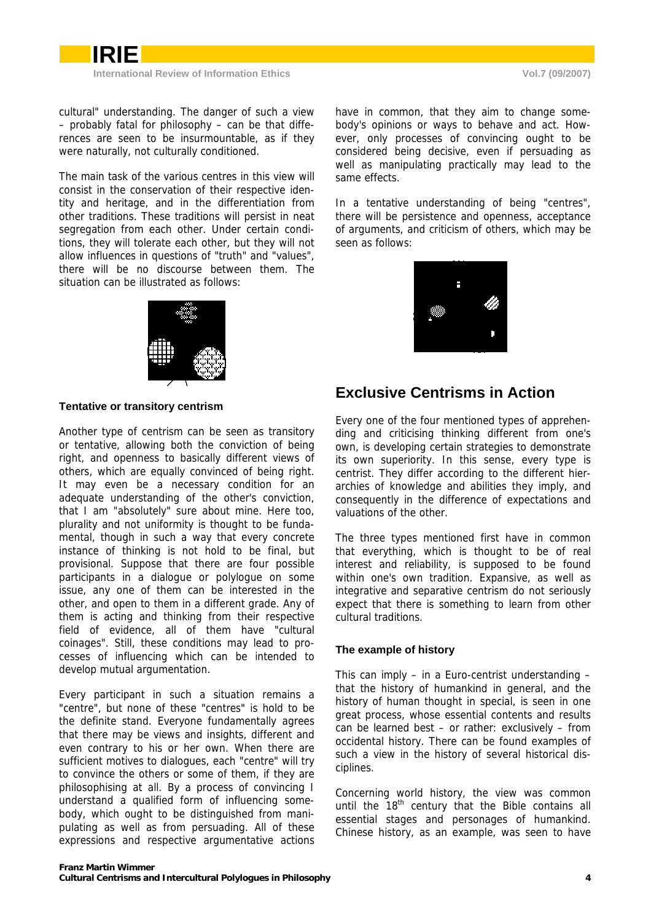<span id="page-3-0"></span>

cultural" understanding. The danger of such a view – probably fatal for philosophy – can be that differences are seen to be insurmountable, as if they were naturally, not culturally conditioned.

The main task of the various centres in this view will consist in the conservation of their respective identity and heritage, and in the differentiation from other traditions. These traditions will persist in neat segregation from each other. Under certain conditions, they will tolerate each other, but they will not allow influences in questions of "truth" and "values", there will be no discourse between them. The situation can be illustrated as follows:



#### **Tentative or transitory centrism**

Another type of centrism can be seen as transitory or tentative, allowing both the conviction of being right, and openness to basically different views of others, which are equally convinced of being right. It may even be a necessary condition for an adequate understanding of the other's conviction, that I am "absolutely" sure about mine. Here too, plurality and not uniformity is thought to be fundamental, though in such a way that every concrete instance of thinking is not hold to be final, but provisional. Suppose that there are four possible participants in a dialogue or polylogue on some issue, any one of them can be interested in the other, and open to them in a different grade. Any of them is acting and thinking from their respective field of evidence, all of them have "cultural coinages". Still, these conditions may lead to processes of influencing which can be intended to develop mutual argumentation.

Every participant in such a situation remains a "centre", but none of these "centres" is hold to be the definite stand. Everyone fundamentally agrees that there may be views and insights, different and even contrary to his or her own. When there are sufficient motives to dialogues, each "centre" will try to convince the others or some of them, if they are philosophising at all. By a process of convincing I understand a qualified form of influencing somebody, which ought to be distinguished from manipulating as well as from persuading. All of these expressions and respective argumentative actions

have in common, that they aim to change somebody's opinions or ways to behave and act. However, only processes of convincing ought to be considered being decisive, even if persuading as well as manipulating practically may lead to the same effects.

In a tentative understanding of being "centres", there will be persistence and openness, acceptance of arguments, and criticism of others, which may be seen as follows:



### **Exclusive Centrisms in Action**

Every one of the four mentioned types of apprehending and criticising thinking different from one's own, is developing certain strategies to demonstrate its own superiority. In this sense, every type is centrist. They differ according to the different hierarchies of knowledge and abilities they imply, and consequently in the difference of expectations and valuations of the other.

The three types mentioned first have in common that everything, which is thought to be of real interest and reliability, is supposed to be found within one's own tradition. Expansive, as well as integrative and separative centrism do not seriously expect that there is something to learn from other cultural traditions.

#### **The example of history**

This can imply – in a Euro-centrist understanding – that the history of humankind in general, and the history of human thought in special, is seen in one great process, whose essential contents and results can be learned best – or rather: exclusively – from occidental history. There can be found examples of such a view in the history of several historical disciplines.

Concerning world history, the view was common until the 18<sup>th</sup> century that the Bible contains all essential stages and personages of humankind. Chinese history, as an example, was seen to have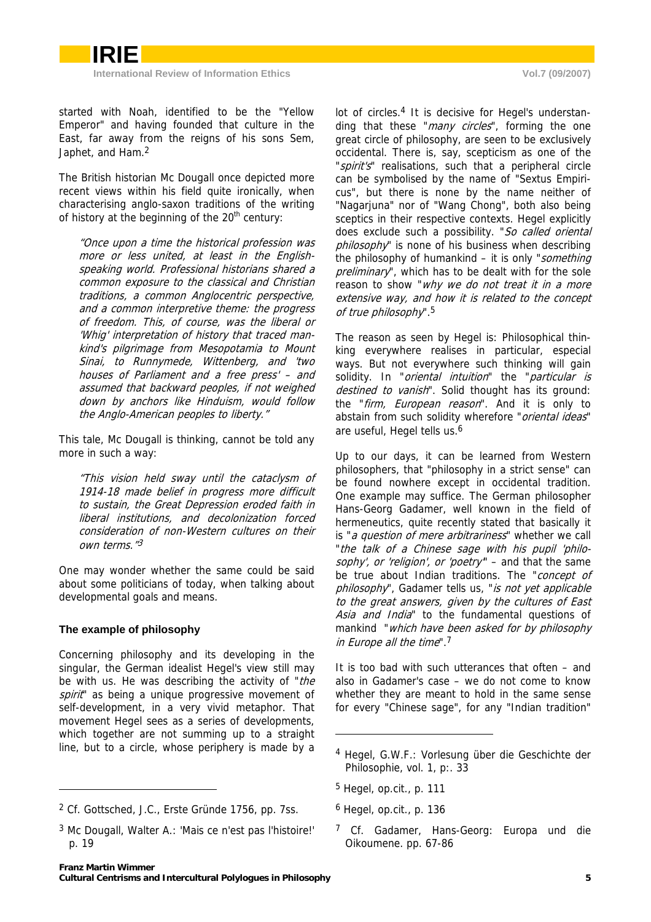<span id="page-4-0"></span>started with Noah, identified to be the "Yellow Emperor" and having founded that culture in the East, far away from the reigns of his sons Sem, Japhet, and Ham[.](#page-4-1)<sup>2</sup>

The British historian Mc Dougall once depicted more recent views within his field quite ironically, when characterising anglo-saxon traditions of the writing of history at the beginning of the  $20<sup>th</sup>$  century:

"Once upon a time the historical profession was more or less united, at least in the Englishspeaking world. Professional historians shared a common exposure to the classical and Christian traditions, a common Anglocentric perspective, and a common interpretive theme: the progress of freedom. This, of course, was the liberal or 'Whig' interpretation of history that traced mankind's pilgrimage from Mesopotamia to Mount Sinai, to Runnymede, Wittenberg, and 'two houses of Parliament and a free press' – and assumed that backward peoples, if not weighed down by anchors like Hinduism, would follow the Anglo-American peoples to liberty."

This tale, Mc Dougall is thinking, cannot be told any more in such a way:

liberal institutions, and decolonization forced own terms."<sup>3</sup> "This vision held sway until the cataclysm of 1914-18 made belief in progress more difficult to sustain, the Great Depression eroded faith in consideration of non-Western cultures on their

One may wonder whether the same could be said about some politicians of today, when talking about developmental goals and means.

### **The example of philosophy**

-

Concerning philosophy and its developing in the singular, the German idealist Hegel's view still may be with us. He was describing the activity of "the spirit" as being a unique progressive movement of self-development, in a very vivid metaphor. That movement Hegel sees as a series of developments, which together are not summing up to a straight line, but to a circle, whose periphery is made by a

ding that th[es](#page-4-2)e "*many circles*", forming the one lot of circles.<sup>4</sup> It is decisive for Hegel's understangreat circle of philosophy, are seen to be exclusively occidental. There is, say, scepticism as one of the "*spirit's*" realisations, such that a peripheral circle can be symbolised by the name of "Sextus Empiricus", but there is none by the name neither of "Nagarjuna" nor of "Wang Chong", both also being sceptics in their respective contexts. Hegel explicitly does exclude such a possibility. "So called oriental philosophy" is none of his business when describing the philosophy of humankind – it is only "something preliminary", which has to be dealt with for the sole reason to show "why we do not treat it in a more extensive way, and how it is related to the concept of true philosophy".5

The reason as seen by Hegel is: Philosophical thinking everywhere realises in particular, especial ways. But not everywhere such thinking will gain solidity. In "*oriental intuition*" the "*particular is* destined to vanish". Solid thought has its ground: the "*firm, European reason*". And it is only to abstain from such solidity wherefore "*oriental ideas*" are useful, Hegel tells us.<sup>6</sup>

Up to our days, it can be learned from Western philosophers, that "philosophy in a strict sense" can be found nowhere except in occidental tradition. One example may suffice. The German philosopher Hans-Georg Gadamer, well known in the field of hermeneutics, quite recently stated that basically it is "a question of mere arbitrariness" whether we call "the talk of a Chinese sage with his pupil 'philosophy', or 'religion', or 'poetry" – and that the same be true about Indian traditions. The "concept of philosophy", Gadamer tells us, "is not yet applicable to the great answers, given by the cultures of East Asia and India" to the fundamental questions of mankind "which have been asked for by philosophy in Europe all the time".7

It is too bad with such utterances that often – and also in Gadamer's case – we do not come to know whether they are meant to hold in the same sense for every "Chinese sage", for any "Indian tradition"

1

<span id="page-4-1"></span><sup>2</sup> Cf. Gottsched, J.C., Erste Gründe 1756, pp. 7ss.

<sup>3</sup> Mc Dougall, Walter A.: 'Mais ce n'est pas l'histoire!' p. 19

<span id="page-4-2"></span><sup>4</sup> Hegel, G.W.F.: Vorlesung über die Geschichte der Philosophie, vol. 1, p:. 33

<span id="page-4-3"></span><sup>5</sup> Hegel, op.cit., p. 111

<sup>6</sup> Hegel, op.cit., p. 136

<span id="page-4-4"></span><sup>&</sup>lt;sup>7</sup> Cf. Gadamer, Hans-Georg: Europa und die Oikoumene. pp. 67-86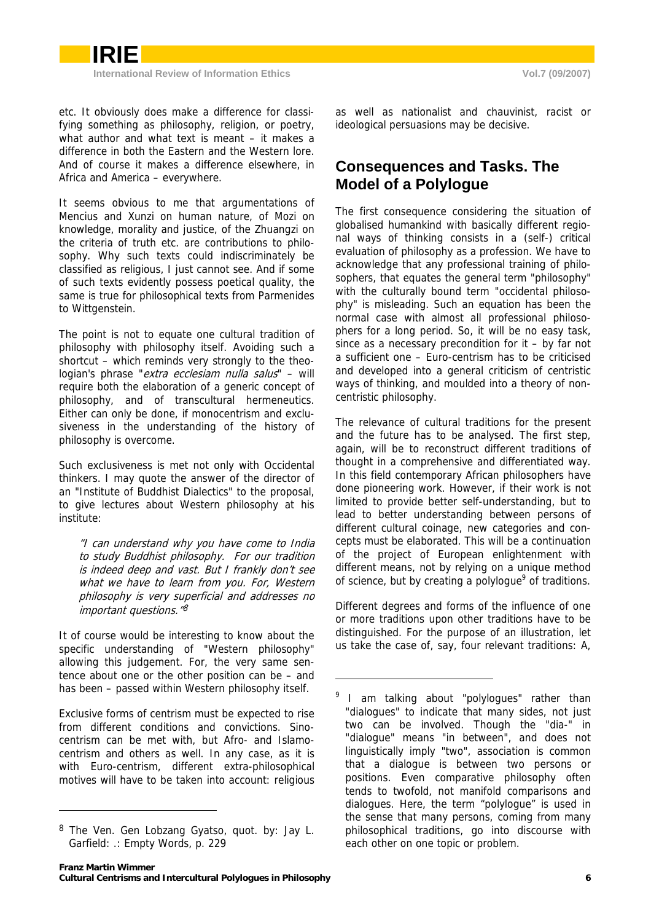<span id="page-5-0"></span>

etc. It obviously does make a difference for classifying something as philosophy, religion, or poetry, what author and what text is meant – it makes a difference in both the Eastern and the Western lore. And of course it makes a difference elsewhere, in Africa and America – everywhere.

It seems obvious to me that argumentations of Mencius and Xunzi on human nature, of Mozi on knowledge, morality and justice, of the Zhuangzi on the criteria of truth etc. are contributions to philosophy. Why such texts could indiscriminately be classified as religious, I just cannot see. And if some of such texts evidently possess poetical quality, the same is true for philosophical texts from Parmenides to Wittgenstein.

The point is not to equate one cultural tradition of philosophy with philosophy itself. Avoiding such a shortcut – which reminds very strongly to the theologian's phrase "extra ecclesiam nulla salus" - will require both the elaboration of a generic concept of philosophy, and of transcultural hermeneutics. Either can only be done, if monocentrism and exclusiveness in the understanding of the history of philosophy is overcome.

Such exclusiveness is met not only with Occidental thinkers. I may quote the answer of the director of an "Institute of Buddhist Dialectics" to the proposal, to give lectures about Western philosophy at his institute:

"I can understand why you have come to India to study Buddhist philosophy. For our tradition is indeed deep and vast. But I frankly don't see what we have to learn from you. For, Western philosophy is very superficial and addresses no important questions." 8

It of course would be interesting to know about the specific understanding of "Western philosophy" allowing this judgement. For, the very same sentence about one or the other position can be – and has been – passed within Western philosophy itself.

Exclusive forms of centrism must be expected to rise from different conditions and convictions. Sinocentrism can be met with, but Afro- and Islamocentrism and others as well. In any case, as it is with Euro-centrism, different extra-philosophical motives will have to be taken into account: religious

-

as well as nationalist and chauvinist, racist or ideological persuasions may be decisive.

## **Consequences and Tasks. The Model of a Polylogue**

The first consequence considering the situation of globalised humankind with basically different regional ways of thinking consists in a (self-) critical evaluation of philosophy as a profession. We have to acknowledge that any professional training of philosophers, that equates the general term "philosophy" with the culturally bound term "occidental philosophy" is misleading. Such an equation has been the normal case with almost all professional philosophers for a long period. So, it will be no easy task, since as a necessary precondition for it – by far not a sufficient one – Euro-centrism has to be criticised and developed into a general criticism of centristic ways of thinking, and moulded into a theory of noncentristic philosophy.

The relevance of cultural traditions for the present and the future has to be analysed. The first step, again, will be to reconstruct different traditions of thought in a comprehensive and differentiated way. In this field contemporary African philosophers have done pioneering work. However, if their work is not limited to provide better self-understanding, but to lead to better understanding between persons of different cultural coinage, new categories and concepts must be elaborated. This will be a continuation of the project of European enlightenment with different means, not by relying on a unique method of sci[e](#page-5-2)nce, but by creating a polylogue<sup>9</sup> of traditions.

Different degrees and forms of the influence of one or more traditions upon other traditions have to be distinguished. For the purpose of an illustration, let us take the case of, say, four relevant traditions: A,

<span id="page-5-1"></span><sup>8</sup> The Ven. Gen Lobzang Gyatso, quot. by: Jay L. Garfield: .: Empty Words, p. 229

<span id="page-5-2"></span> $9$  I am talking about "polylogues" rather than "dialogues" to indicate that many sides, not just two can be involved. Though the "dia-" in "dialogue" means "in between", and does not linguistically imply "two", association is common that a dialogue is between two persons or positions. Even comparative philosophy often tends to twofold, not manifold comparisons and dialogues. Here, the term "polylogue" is used in the sense that many persons, coming from many philosophical traditions, go into discourse with each other on one topic or problem.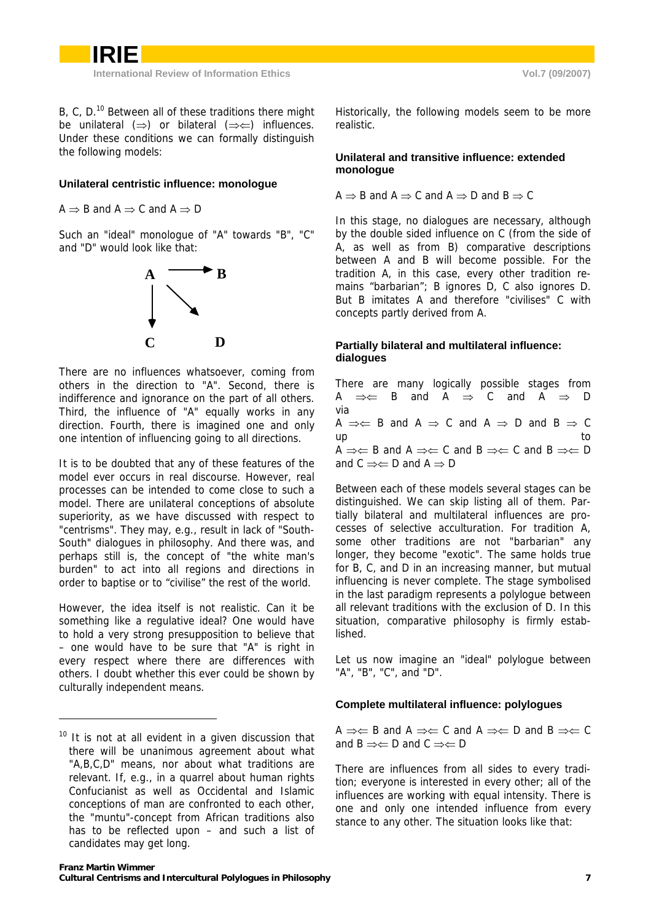<span id="page-6-0"></span>B, C, D.<sup>10</sup> Between all of these traditions there might be unil[ate](#page-6-1)ral  $(\Rightarrow)$  or bilateral  $(\Rightarrow \Leftarrow)$  influences. Under these conditions we can formally distinguish the following models:

### **Unilateral centristic influence: monologue**

 $A \Rightarrow B$  and  $A \Rightarrow C$  and  $A \Rightarrow D$ 

Such an "ideal" monologue of "A" towards "B", "C" and "D" would look like that:



There are no influences whatsoever, coming from others in the direction to "A". Second, there is indifference and ignorance on the part of all others. Third, the influence of "A" equally works in any direction. Fourth, there is imagined one and only one intention of influencing going to all directions.

It is to be doubted that any of these features of the model ever occurs in real discourse. However, real processes can be intended to come close to such a model. There are unilateral conceptions of absolute superiority, as we have discussed with respect to "centrisms". They may, e.g., result in lack of "South-South" dialogues in philosophy. And there was, and perhaps still is, the concept of "the white man's burden" to act into all regions and directions in order to baptise or to "civilise" the rest of the world.

However, the idea itself is not realistic. Can it be something like a regulative ideal? One would have to hold a very strong presupposition to believe that – one would have to be sure that "A" is right in every respect where there are differences with others. I doubt whether this ever could be shown by culturally independent means.

-

Historically, the following models seem to be more realistic.

### **Unilateral and transitive influence: extended monologue**

$$
A \Rightarrow B \text{ and } A \Rightarrow C \text{ and } A \Rightarrow D \text{ and } B \Rightarrow C
$$

In this stage, no dialogues are necessary, although by the double sided influence on C (from the side of A, as well as from B) comparative descriptions between A and B will become possible. For the tradition A, in this case, every other tradition remains "barbarian"; B ignores D, C also ignores D. But B imitates A and therefore "civilises" C with concepts partly derived from A.

### **Partially bilateral and multilateral influence: dialogues**

There are many logically possible stages from A  $\Rightarrow \Leftarrow$  B and A  $\Rightarrow$  C and A  $\Rightarrow$  D via A  $\Rightarrow \Leftrightarrow$  B and A  $\Rightarrow$  C and A  $\Rightarrow$  D and B  $\Rightarrow$  C up to the contract of the contract of the contract of the contract of the contract of the contract of the contract of the contract of the contract of the contract of the contract of the contract of the contract of the cont A  $\Rightarrow \Leftrightarrow$  B and A  $\Rightarrow \Leftrightarrow$  C and B  $\Rightarrow \Leftrightarrow$  C and B  $\Rightarrow \Leftrightarrow$  D and  $C \implies D$  and  $A \implies D$ 

Between each of these models several stages can be distinguished. We can skip listing all of them. Partially bilateral and multilateral influences are processes of selective acculturation. For tradition A, some other traditions are not "barbarian" any longer, they become "exotic". The same holds true for B, C, and D in an increasing manner, but mutual influencing is never complete. The stage symbolised in the last paradigm represents a polylogue between all relevant traditions with the exclusion of D. In this situation, comparative philosophy is firmly established.

Let us now imagine an "ideal" polylogue between "A", "B", "C", and "D".

### **Complete multilateral influence: polylogues**

A  $\Rightarrow \Leftarrow$  B and A  $\Rightarrow \Leftarrow$  C and A  $\Rightarrow \Leftarrow$  D and B  $\Rightarrow \Leftarrow$  C and  $B \implies D$  and  $C \implies D$ 

There are influences from all sides to every tradition; everyone is interested in every other; all of the influences are working with equal intensity. There is one and only one intended influence from every stance to any other. The situation looks like that:

<span id="page-6-1"></span> $10$  It is not at all evident in a given discussion that there will be unanimous agreement about what "A,B,C,D" means, nor about what traditions are relevant. If, e.g., in a quarrel about human rights Confucianist as well as Occidental and Islamic conceptions of man are confronted to each other, the "muntu"-concept from African traditions also has to be reflected upon – and such a list of candidates may get long.